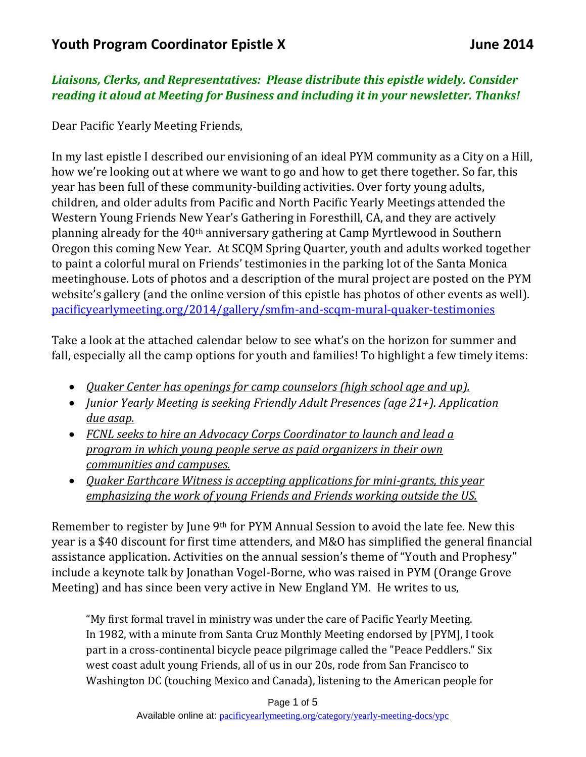## *Liaisons, Clerks, and Representatives: Please distribute this epistle widely. Consider reading it aloud at Meeting for Business and including it in your newsletter. Thanks!*

Dear Pacific Yearly Meeting Friends,

In my last epistle I described our envisioning of an ideal PYM community as a City on a Hill, how we're looking out at where we want to go and how to get there together. So far, this year has been full of these community-building activities. Over forty young adults, children, and older adults from Pacific and North Pacific Yearly Meetings attended the Western Young Friends New Year's Gathering in Foresthill, CA, and they are actively planning already for the 40th anniversary gathering at Camp Myrtlewood in Southern Oregon this coming New Year. At SCQM Spring Quarter, youth and adults worked together to paint a colorful mural on Friends' testimonies in the parking lot of the Santa Monica meetinghouse. Lots of photos and a description of the mural project are posted on the PYM website's gallery (and the online version of this epistle has photos of other events as well). [pacificyearlymeeting.org/2014/gallery/smfm-and-scqm-mural-quaker-testimonies](http://www.pacificyearlymeeting.org/2014/gallery/smfm-and-scqm-mural-quaker-testimonies/)

Take a look at the attached calendar below to see what's on the horizon for summer and fall, especially all the camp options for youth and families! To highlight a few timely items:

- *Quaker Center has openings for camp counselors (high school age and up).*
- *Junior Yearly Meeting is seeking Friendly Adult Presences (age 21+). Application due asap.*
- *FCNL seeks to hire an Advocacy Corps Coordinator to launch and lead a program in which young people serve as paid organizers in their own communities and campuses.*
- *Quaker Earthcare Witness is accepting applications for mini-grants, this year emphasizing the work of young Friends and Friends working outside the US.*

Remember to register by June 9th for PYM Annual Session to avoid the late fee. New this year is a \$40 discount for first time attenders, and M&O has simplified the general financial assistance application. Activities on the annual session's theme of "Youth and Prophesy" include a keynote talk by Jonathan Vogel-Borne, who was raised in PYM (Orange Grove Meeting) and has since been very active in New England YM. He writes to us,

"My first formal travel in ministry was under the care of Pacific Yearly Meeting. In 1982, with a minute from Santa Cruz Monthly Meeting endorsed by [PYM], I took part in a cross-continental bicycle peace pilgrimage called the "Peace Peddlers." Six west coast adult young Friends, all of us in our 20s, rode from San Francisco to Washington DC (touching Mexico and Canada), listening to the American people for

Page 1 of 5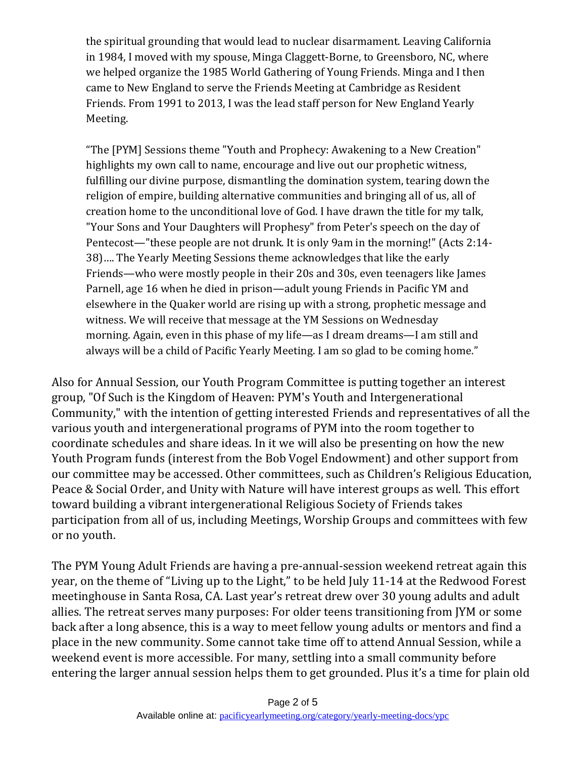the spiritual grounding that would lead to nuclear disarmament. Leaving California in 1984, I moved with my spouse, Minga Claggett-Borne, to Greensboro, NC, where we helped organize the 1985 World Gathering of Young Friends. Minga and I then came to New England to serve the Friends Meeting at Cambridge as Resident Friends. From 1991 to 2013, I was the lead staff person for New England Yearly Meeting.

"The [PYM] Sessions theme "Youth and Prophecy: Awakening to a New Creation" highlights my own call to name, encourage and live out our prophetic witness, fulfilling our divine purpose, dismantling the domination system, tearing down the religion of empire, building alternative communities and bringing all of us, all of creation home to the unconditional love of God. I have drawn the title for my talk, "Your Sons and Your Daughters will Prophesy" from Peter's speech on the day of Pentecost—"these people are not drunk. It is only 9am in the morning!" (Acts 2:14- 38)…. The Yearly Meeting Sessions theme acknowledges that like the early Friends—who were mostly people in their 20s and 30s, even teenagers like James Parnell, age 16 when he died in prison—adult young Friends in Pacific YM and elsewhere in the Quaker world are rising up with a strong, prophetic message and witness. We will receive that message at the YM Sessions on Wednesday morning. Again, even in this phase of my life—as I dream dreams—I am still and always will be a child of Pacific Yearly Meeting. I am so glad to be coming home."

Also for Annual Session, our Youth Program Committee is putting together an interest group, "Of Such is the Kingdom of Heaven: PYM's Youth and Intergenerational Community," with the intention of getting interested Friends and representatives of all the various youth and intergenerational programs of PYM into the room together to coordinate schedules and share ideas. In it we will also be presenting on how the new Youth Program funds (interest from the Bob Vogel Endowment) and other support from our committee may be accessed. Other committees, such as Children's Religious Education, Peace & Social Order, and Unity with Nature will have interest groups as well. This effort toward building a vibrant intergenerational Religious Society of Friends takes participation from all of us, including Meetings, Worship Groups and committees with few or no youth.

The PYM Young Adult Friends are having a pre-annual-session weekend retreat again this year, on the theme of "Living up to the Light," to be held July 11-14 at the Redwood Forest meetinghouse in Santa Rosa, CA. Last year's retreat drew over 30 young adults and adult allies. The retreat serves many purposes: For older teens transitioning from JYM or some back after a long absence, this is a way to meet fellow young adults or mentors and find a place in the new community. Some cannot take time off to attend Annual Session, while a weekend event is more accessible. For many, settling into a small community before entering the larger annual session helps them to get grounded. Plus it's a time for plain old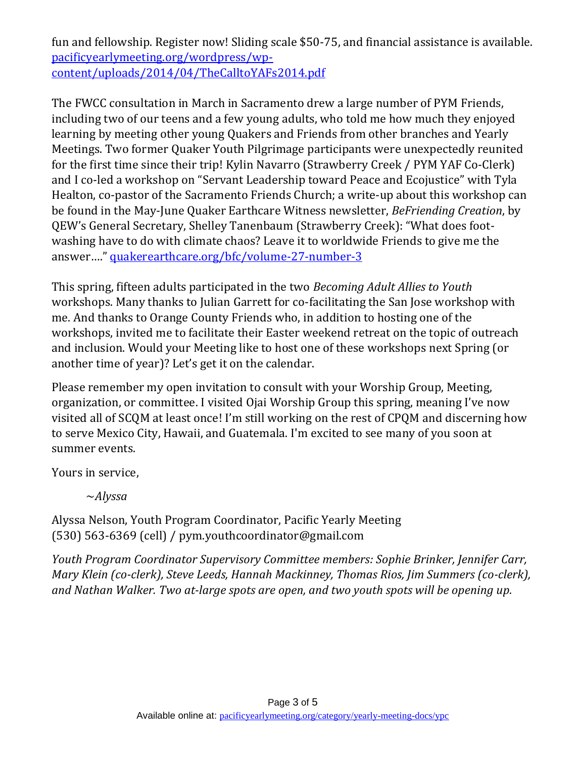fun and fellowship. Register now! Sliding scale \$50-75, and financial assistance is available. [pacificyearlymeeting.org/wordpress/wp](http://www.pacificyearlymeeting.org/wordpress/wp-content/uploads/2014/04/TheCalltoYAFs2014.pdf)[content/uploads/2014/04/TheCalltoYAFs2014.pdf](http://www.pacificyearlymeeting.org/wordpress/wp-content/uploads/2014/04/TheCalltoYAFs2014.pdf)

The FWCC consultation in March in Sacramento drew a large number of PYM Friends, including two of our teens and a few young adults, who told me how much they enjoyed learning by meeting other young Quakers and Friends from other branches and Yearly Meetings. Two former Quaker Youth Pilgrimage participants were unexpectedly reunited for the first time since their trip! Kylin Navarro (Strawberry Creek / PYM YAF Co-Clerk) and I co-led a workshop on "Servant Leadership toward Peace and Ecojustice" with Tyla Healton, co-pastor of the Sacramento Friends Church; a write-up about this workshop can be found in the May-June Quaker Earthcare Witness newsletter, *BeFriending Creation*, by QEW's General Secretary, Shelley Tanenbaum (Strawberry Creek): "What does footwashing have to do with climate chaos? Leave it to worldwide Friends to give me the answer…." [quakerearthcare.org/bfc/volume-27-number-3](http://www.quakerearthcare.org/bfc/volume-27-number-3)

This spring, fifteen adults participated in the two *Becoming Adult Allies to Youth* workshops. Many thanks to Julian Garrett for co-facilitating the San Jose workshop with me. And thanks to Orange County Friends who, in addition to hosting one of the workshops, invited me to facilitate their Easter weekend retreat on the topic of outreach and inclusion. Would your Meeting like to host one of these workshops next Spring (or another time of year)? Let's get it on the calendar.

Please remember my open invitation to consult with your Worship Group, Meeting, organization, or committee. I visited Ojai Worship Group this spring, meaning I've now visited all of SCQM at least once! I'm still working on the rest of CPQM and discerning how to serve Mexico City, Hawaii, and Guatemala. I'm excited to see many of you soon at summer events.

Yours in service,

~*Alyssa*

Alyssa Nelson, Youth Program Coordinator, Pacific Yearly Meeting (530) 563-6369 (cell) / pym.youthcoordinator@gmail.com

*Youth Program Coordinator Supervisory Committee members: Sophie Brinker, Jennifer Carr, Mary Klein (co-clerk), Steve Leeds, Hannah Mackinney, Thomas Rios, Jim Summers (co-clerk), and Nathan Walker. Two at-large spots are open, and two youth spots will be opening up.*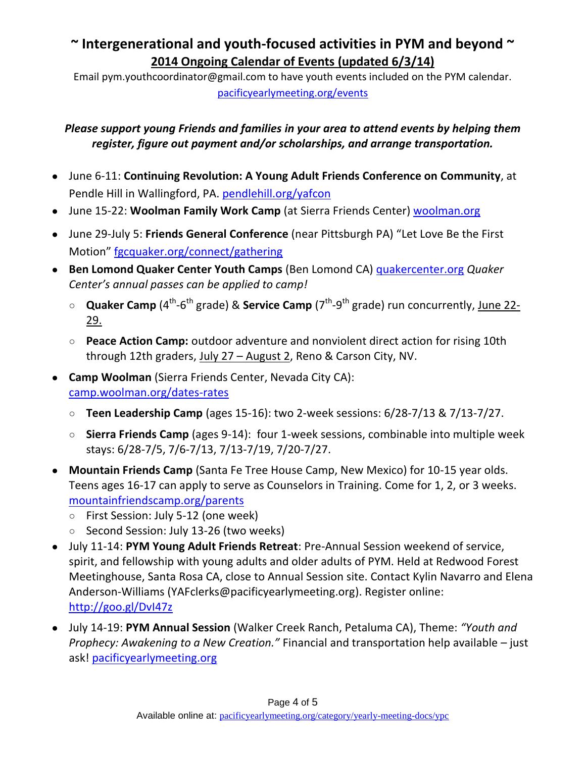## **~ Intergenerational and youth-focused activities in PYM and beyond ~ 2014 Ongoing Calendar of Events (updated 6/3/14)**

Email pym.youthcoordinator@gmail.com to have youth events included on the PYM calendar. [pacificyearlymeeting.org/events](http://www.pacificyearlymeeting.org/events/)

## *Please support young Friends and families in your area to attend events by helping them register, figure out payment and/or scholarships, and arrange transportation.*

- June 6-11: **Continuing Revolution: A Young Adult Friends Conference on Community**, at Pendle Hill in Wallingford, PA. [pendlehill.org/yafcon](http://www.pendlehill.org/yafcon)
- June 15-22: **Woolman Family Work Camp** (at Sierra Friends Center) woolman.org
- June 29-July 5: **Friends General Conference** (near Pittsburgh PA) "Let Love Be the First Motion" [fgcquaker.org/connect/gathering](http://www.fgcquaker.org/connect/gathering)
- **Ben Lomond Quaker Center Youth Camps** (Ben Lomond CA) quakercenter.org *Quaker Center's annual passes can be applied to camp!*
	- **Quaker Camp** (4<sup>th</sup>-6<sup>th</sup> grade) & Service Camp (7<sup>th</sup>-9<sup>th</sup> grade) run concurrently, June 22-29.
	- **Peace Action Camp:** outdoor adventure and nonviolent direct action for rising 10th through 12th graders, July 27 - August 2, Reno & Carson City, NV.
- **Camp Woolman** (Sierra Friends Center, Nevada City CA): [camp.woolman.org/dates-rates](http://camp.woolman.org/dates-rates)
	- **Teen Leadership Camp** (ages 15-16): two 2-week sessions: 6/28-7/13 & 7/13-7/27.
	- **Sierra Friends Camp** (ages 9-14): four 1-week sessions, combinable into multiple week stays: 6/28-7/5, 7/6-7/13, 7/13-7/19, 7/20-7/27.
- **Mountain Friends Camp** (Santa Fe Tree House Camp, New Mexico) for 10-15 year olds. Teens ages 16-17 can apply to serve as Counselors in Training. Come for 1, 2, or 3 weeks. [mountainfriendscamp.org/parents](http://mountainfriendscamp.org/parents)
	- First Session: July 5-12 (one week)
	- Second Session: July 13-26 (two weeks)
- July 11-14: **PYM Young Adult Friends Retreat**: Pre-Annual Session weekend of service, spirit, and fellowship with young adults and older adults of PYM. Held at Redwood Forest Meetinghouse, Santa Rosa CA, close to Annual Session site. Contact Kylin Navarro and Elena Anderson-Williams (YAFclerks@pacificyearlymeeting.org). Register online: <http://goo.gl/DvI47z>
- July 14-19: **PYM Annual Session** (Walker Creek Ranch, Petaluma CA), Theme: *"Youth and Prophecy: Awakening to a New Creation."* Financial and transportation help available – just ask! pacificyearlymeeting.org